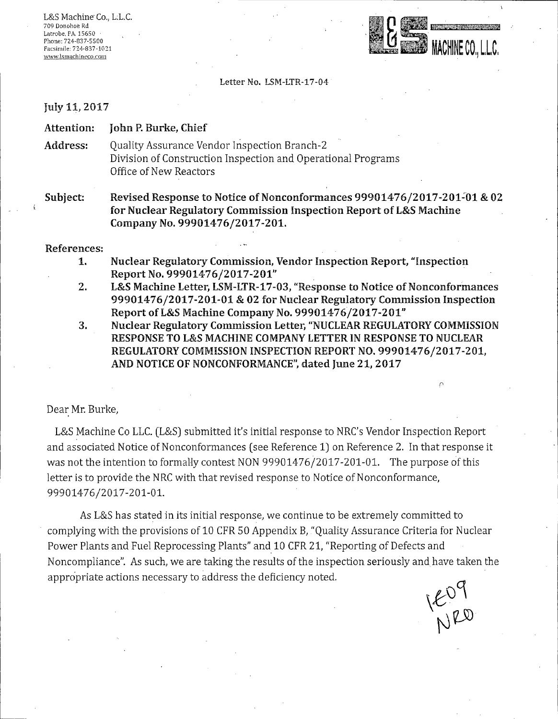L&S Machine<sup>Co., L.L.C.</sup> 709 Donohoe Rd Latrobe, PA. 15650 Phone: 724·-837-5500 Facsimile: 724-837-1021<br>www.lsmachineco.com



Letter No. LSM-LTR-17-04

#### July 11, 2017

Attention: John P. Burke, Chief

Address: Quality Assurance Vendor Inspection Branch-2 Division of Construction Inspection and Operational Programs Office of New Reactors

Subject: Revised Response to Notice of Nonconformances 99901476/2017-201~01 & 02 for Nuclear Regulatory Commission Inspection Report of L&S Machine Company No. 99901476/2017-201.

#### References:

- 1. Nuclear Regulatory Commission, Vendor Inspection Report, "Hnspection Report No. 99901476/2017-201"
- 2. L&S Machine Letter, LSM-LTR-17-03, "Response to Notice of Nonconformances 99901476/2017-201-01 & 02 for Nuclear Regulatory Commission Inspection Report of L&S Machine Company No. 99901476/2017-201"
- 3. Nuclear Regulatory Commission Letter, "NUCLEAR REGULATORY COMMISSION RESPONSE TO L&S MACHINE COMPANY LETTER IN RESPONSE **TO** NUCLEAR REGULATORY COMMISSION INSPECTION REPORT NO. 99901476/2017-201, AND NOTICE **OF** NONCONFORMANCE", dated June 21, 2017

## Dear Mr. Burke,

L&S Machine Co LLC. (L&S) submitted it's initial response to NRC's Vendor Inspection Report and associated Notice of Nonconformances (see Reference 1) on Reference 2. In that response it was not the intention to formally contest NON 99901476/2017-201-01. The purpose of this letter is to provide the NRC with that revised response to Notice of Nonconformance, 99901476/2017-201-01.

As L&S has stated in its initial response, we continue to be extremely committed to complying with the provisions of 10 CFR SO Appendix B, "Quality Assurance Criteria for Nuclear Power Plants and Fuel Reprocessing Plants" and 10 CFR 21, "Reporting of Defects and Noncompliance". As such, we are taking the results of the inspection seriously and have taken the appropriate actions necessary to address the deficiency noted.

 $1207$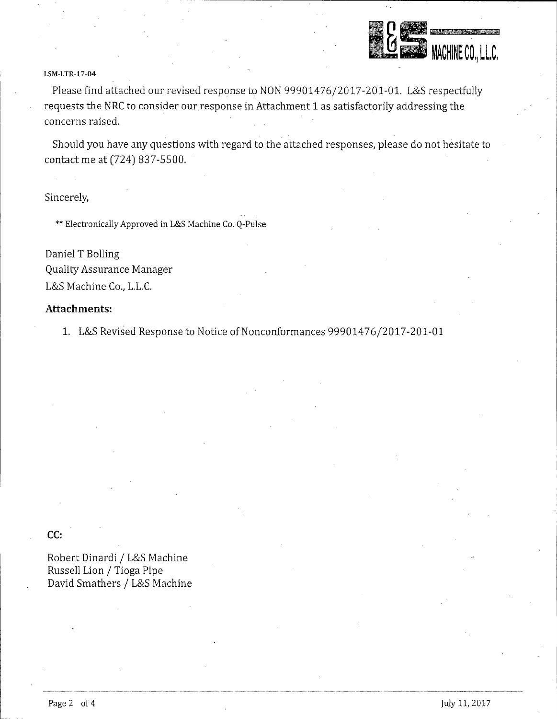

#### LSM-LTR-17-04·

Please find attached our revised response to NON 99901476/2017-201-01. L&S respectfully requests the NRC to consider our response in Attachment 1 as satisfactorily addressing the concerns raised.

Should you have any questions with regard to the attached responses, please do not hesitate to contact me at (724) 837-5500.

Sincerely,

\*\*Electronically Approved in L&S Machine Co. Q-Pulse

Daniel T Bolling Quality Assurance Manager L&S Machine Co., L.L.C.

### **Attachments:**

1. L&S Revised Response to Notice of Nonconformances 99901476/2017-201-01

**CC:** 

Robert Dinardi / L&S Machine Russell Lion / Tioga Pipe David Smathers / L&S Machine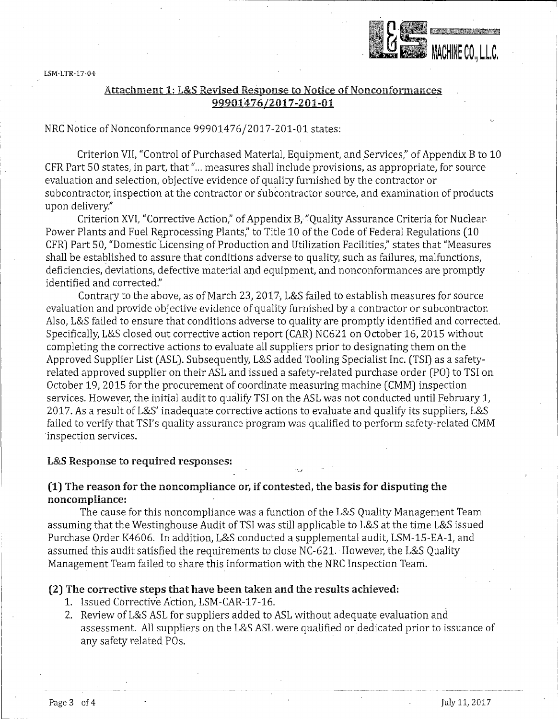LSM-LTR-17-04



# Attachment 1: L&S Revised Response to Notice of Nonconformances 99901476/2017-201-01

## NRC Notice of Nonconformance 999014 76/2017-201-01 states:

Criterion VII, "Control of Purchased Material, Equipment, and Services," of Appendix B to 10 CFR Part 50 states, in part, that" ... measures shall include provisions, as appropriate, for source evaluation and selection, objective evidence of quality furnished by the contractor or subcontractor, inspection at the contractor or subcontractor source, and examination of products upon delivery."

Criterion XVI, "Corrective Action," of Appendix B,"Quality Assurance Criteria for Nuclear Power Plants and Fuel Reprocessing Plants," to Title 10 of the Code of Federal Regulations (10 CFR) Part 50, "Domestic Licensing of Production and Utilization Facilities," states that "Measures shall be established to assure that conditions adverse to quality, such as failures, malfunctions, deficiencies, deviations, defective material and equipment, and nonconformances are promptly identified and corrected."

Contrary to the above, as of March 23, 2017, L&S failed to establish measures for source evaluation and provide objective evidence of quality furnished by a contractor or subcontractor. Also, L&S failed to ensure that conditions adverse to quality are promptly identified and corrected. Specifically, L&S closed out corrective action report (CAR) NC621 on October 16, 2015 without completing the corrective actions to evaluate all suppliers prior to designating them on the Approved Supplier List (ASL). Subsequently, L&S added Tooling Specialist Inc. (TSI) as a safetyrelated approved supplier on their ASL and issued a safety-related purchase order (PO) to TSI on October 19, 2015 for the procurement of coordinate measuring machine (CMM) inspection services. However, the initial audit to qualify TSJ on the ASL was not conducted until February 1, 2017. As a result of L&S' inadequate corrective actions to evaluate and qualify its suppliers, L&S failed to verify that TSI's quality assurance program was qualified to perform safety-related CMM inspection services.

### L&S Response to required responses:

# (1) The reason for the noncompliance or, if contested, the basis for disputing the noncompliance:

The cause for this noncompliance was a function of the L&S Quality Management Team assuming that the Westinghouse Audit of TSI was still applicable to L&S at the time L&S issued Purchase Order K4606. In addition, L&S conducted a supplemental audit, LSM-15-EA-1, and assumed this audit satisfied the requirements to close NC-621. However, the L&S Quality Management Team failed to share this information with the NRC Inspection Teani.

## (2) The corrective steps that have been taken and the results achieved:

- 1. Issued Corrective Action, LSM-CAR-17-16.
- 2. Review of L&S ASL for suppliers added to ASL without adequate evaluation and assessment. All suppliers on the L&S ASL were qualified or dedicated prior to issuance of any safety related POs.